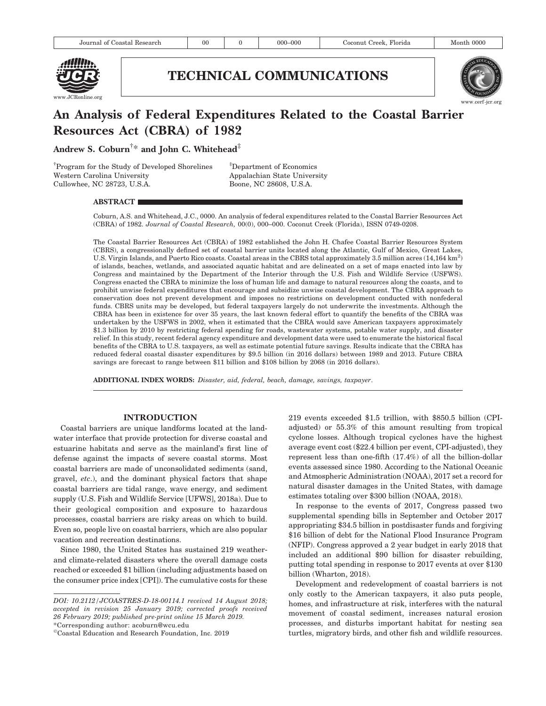

## TECHNICAL COMMUNICATIONS



# An Analysis of Federal Expenditures Related to the Coastal Barrier Resources Act (CBRA) of 1982

Andrew S. Coburn $^{\dagger *}$  and John C. Whitehead $^{\ddagger}$ 

† Program for the Study of Developed Shorelines Western Carolina University Cullowhee, NC 28723, U.S.A.

‡ Department of Economics Appalachian State University Boone, NC 28608, U.S.A.

## ABSTRACT

Coburn, A.S. and Whitehead, J.C., 0000. An analysis of federal expenditures related to the Coastal Barrier Resources Act (CBRA) of 1982. Journal of Coastal Research, 00(0), 000–000. Coconut Creek (Florida), ISSN 0749-0208.

The Coastal Barrier Resources Act (CBRA) of 1982 established the John H. Chafee Coastal Barrier Resources System (CBRS), a congressionally defined set of coastal barrier units located along the Atlantic, Gulf of Mexico, Great Lakes, U.S. Virgin Islands, and Puerto Rico coasts. Coastal areas in the CBRS total approximately 3.5 million acres (14,164 km<sup>2</sup>) of islands, beaches, wetlands, and associated aquatic habitat and are delineated on a set of maps enacted into law by Congress and maintained by the Department of the Interior through the U.S. Fish and Wildlife Service (USFWS). Congress enacted the CBRA to minimize the loss of human life and damage to natural resources along the coasts, and to prohibit unwise federal expenditures that encourage and subsidize unwise coastal development. The CBRA approach to conservation does not prevent development and imposes no restrictions on development conducted with nonfederal funds. CBRS units may be developed, but federal taxpayers largely do not underwrite the investments. Although the CBRA has been in existence for over 35 years, the last known federal effort to quantify the benefits of the CBRA was undertaken by the USFWS in 2002, when it estimated that the CBRA would save American taxpayers approximately \$1.3 billion by 2010 by restricting federal spending for roads, wastewater systems, potable water supply, and disaster relief. In this study, recent federal agency expenditure and development data were used to enumerate the historical fiscal benefits of the CBRA to U.S. taxpayers, as well as estimate potential future savings. Results indicate that the CBRA has reduced federal coastal disaster expenditures by \$9.5 billion (in 2016 dollars) between 1989 and 2013. Future CBRA savings are forecast to range between \$11 billion and \$108 billion by 2068 (in 2016 dollars).

ADDITIONAL INDEX WORDS: Disaster, aid, federal, beach, damage, savings, taxpayer.

## INTRODUCTION

Coastal barriers are unique landforms located at the landwater interface that provide protection for diverse coastal and estuarine habitats and serve as the mainland's first line of defense against the impacts of severe coastal storms. Most coastal barriers are made of unconsolidated sediments (sand, gravel, etc.), and the dominant physical factors that shape coastal barriers are tidal range, wave energy, and sediment supply (U.S. Fish and Wildlife Service [UFWS], 2018a). Due to their geological composition and exposure to hazardous processes, coastal barriers are risky areas on which to build. Even so, people live on coastal barriers, which are also popular vacation and recreation destinations.

Since 1980, the United States has sustained 219 weatherand climate-related disasters where the overall damage costs reached or exceeded \$1 billion (including adjustments based on the consumer price index [CPI]). The cumulative costs for these 219 events exceeded \$1.5 trillion, with \$850.5 billion (CPIadjusted) or 55.3% of this amount resulting from tropical cyclone losses. Although tropical cyclones have the highest average event cost (\$22.4 billion per event, CPI-adjusted), they represent less than one-fifth (17.4%) of all the billion-dollar events assessed since 1980. According to the National Oceanic and Atmospheric Administration (NOAA), 2017 set a record for natural disaster damages in the United States, with damage estimates totaling over \$300 billion (NOAA, 2018).

In response to the events of 2017, Congress passed two supplemental spending bills in September and October 2017 appropriating \$34.5 billion in postdisaster funds and forgiving \$16 billion of debt for the National Flood Insurance Program (NFIP). Congress approved a 2 year budget in early 2018 that included an additional \$90 billion for disaster rebuilding, putting total spending in response to 2017 events at over \$130 billion (Wharton, 2018).

Development and redevelopment of coastal barriers is not only costly to the American taxpayers, it also puts people, homes, and infrastructure at risk, interferes with the natural movement of coastal sediment, increases natural erosion processes, and disturbs important habitat for nesting sea turtles, migratory birds, and other fish and wildlife resources.

DOI: 10.2112/JCOASTRES-D-18-00114.1 received 14 August 2018; accepted in revision 25 January 2019; corrected proofs received 26 February 2019; published pre-print online 15 March 2019. \*Corresponding author: acoburn@wcu.edu

<sup>-</sup>Coastal Education and Research Foundation, Inc. 2019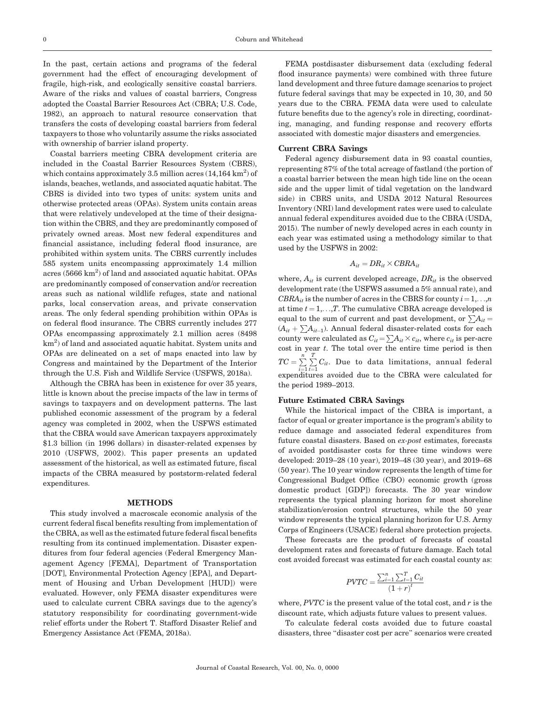In the past, certain actions and programs of the federal government had the effect of encouraging development of fragile, high-risk, and ecologically sensitive coastal barriers. Aware of the risks and values of coastal barriers, Congress adopted the Coastal Barrier Resources Act (CBRA; U.S. Code, 1982), an approach to natural resource conservation that transfers the costs of developing coastal barriers from federal taxpayers to those who voluntarily assume the risks associated with ownership of barrier island property.

Coastal barriers meeting CBRA development criteria are included in the Coastal Barrier Resources System (CBRS), which contains approximately 3.5 million acres  $(14, 164 \text{ km}^2)$  of islands, beaches, wetlands, and associated aquatic habitat. The CBRS is divided into two types of units: system units and otherwise protected areas (OPAs). System units contain areas that were relatively undeveloped at the time of their designation within the CBRS, and they are predominantly composed of privately owned areas. Most new federal expenditures and financial assistance, including federal flood insurance, are prohibited within system units. The CBRS currently includes 585 system units encompassing approximately 1.4 million acres  $(5666 \text{ km}^2)$  of land and associated aquatic habitat. OPAs are predominantly composed of conservation and/or recreation areas such as national wildlife refuges, state and national parks, local conservation areas, and private conservation areas. The only federal spending prohibition within OPAs is on federal flood insurance. The CBRS currently includes 277 OPAs encompassing approximately 2.1 million acres (8498  $km<sup>2</sup>$ ) of land and associated aquatic habitat. System units and OPAs are delineated on a set of maps enacted into law by Congress and maintained by the Department of the Interior through the U.S. Fish and Wildlife Service (USFWS, 2018a).

Although the CBRA has been in existence for over 35 years, little is known about the precise impacts of the law in terms of savings to taxpayers and on development patterns. The last published economic assessment of the program by a federal agency was completed in 2002, when the USFWS estimated that the CBRA would save American taxpayers approximately \$1.3 billion (in 1996 dollars) in disaster-related expenses by 2010 (USFWS, 2002). This paper presents an updated assessment of the historical, as well as estimated future, fiscal impacts of the CBRA measured by poststorm-related federal expenditures.

#### **METHODS**

This study involved a macroscale economic analysis of the current federal fiscal benefits resulting from implementation of the CBRA, as well as the estimated future federal fiscal benefits resulting from its continued implementation. Disaster expenditures from four federal agencies (Federal Emergency Management Agency [FEMA], Department of Transportation [DOT], Environmental Protection Agency [EPA], and Department of Housing and Urban Development [HUD]) were evaluated. However, only FEMA disaster expenditures were used to calculate current CBRA savings due to the agency's statutory responsibility for coordinating government-wide relief efforts under the Robert T. Stafford Disaster Relief and Emergency Assistance Act (FEMA, 2018a).

FEMA postdisaster disbursement data (excluding federal flood insurance payments) were combined with three future land development and three future damage scenarios to project future federal savings that may be expected in 10, 30, and 50 years due to the CBRA. FEMA data were used to calculate future benefits due to the agency's role in directing, coordinating, managing, and funding response and recovery efforts associated with domestic major disasters and emergencies.

#### Current CBRA Savings

Federal agency disbursement data in 93 coastal counties, representing 87% of the total acreage of fastland (the portion of a coastal barrier between the mean high tide line on the ocean side and the upper limit of tidal vegetation on the landward side) in CBRS units, and USDA 2012 Natural Resources Inventory (NRI) land development rates were used to calculate annual federal expenditures avoided due to the CBRA (USDA, 2015). The number of newly developed acres in each county in each year was estimated using a methodology similar to that used by the USFWS in 2002:

$$
A_{it} = DR_{it} \times CBRA_{it}
$$

where,  $A_{it}$  is current developed acreage,  $DR_{it}$  is the observed development rate (the USFWS assumed a 5% annual rate), and  $CBRA_{it}$  is the number of acres in the CBRS for county  $i=1,...,n$ at time  $t = 1, \ldots, T$ . The cumulative CBRA acreage developed is equal to the sum of current and past development, or  $\sum A_{it} =$  $(A_{it} + \sum A_{it-1})$ . Annual federal disaster-related costs for each county were calculated as  $C_{it} = \sum A_{it} \times c_{it}$ , where  $c_{it}$  is per-acre  $cost$  in year  $t$ . The total over the entire time period is then  $TC = \sum_{i=1}^{n}$  $\frac{T}{\sqrt{2}}$  $\sum_{t=1}^{n} C_{it}$ . Due to data limitations, annual federal expenditures avoided due to the CBRA were calculated for the period 1989–2013.

## Future Estimated CBRA Savings

While the historical impact of the CBRA is important, a factor of equal or greater importance is the program's ability to reduce damage and associated federal expenditures from future coastal disasters. Based on ex-post estimates, forecasts of avoided postdisaster costs for three time windows were developed: 2019–28 (10 year), 2019–48 (30 year), and 2019–68 (50 year). The 10 year window represents the length of time for Congressional Budget Office (CBO) economic growth (gross domestic product [GDP]) forecasts. The 30 year window represents the typical planning horizon for most shoreline stabilization/erosion control structures, while the 50 year window represents the typical planning horizon for U.S. Army Corps of Engineers (USACE) federal shore protection projects.

These forecasts are the product of forecasts of coastal development rates and forecasts of future damage. Each total cost avoided forecast was estimated for each coastal county as:

$$
PVTC = \frac{\sum_{i=1}^{n} \sum_{t=1}^{T} C_{it}}{\left(1+r\right)^{t}}
$$

where,  $PVTC$  is the present value of the total cost, and  $r$  is the discount rate, which adjusts future values to present values.

To calculate federal costs avoided due to future coastal disasters, three ''disaster cost per acre'' scenarios were created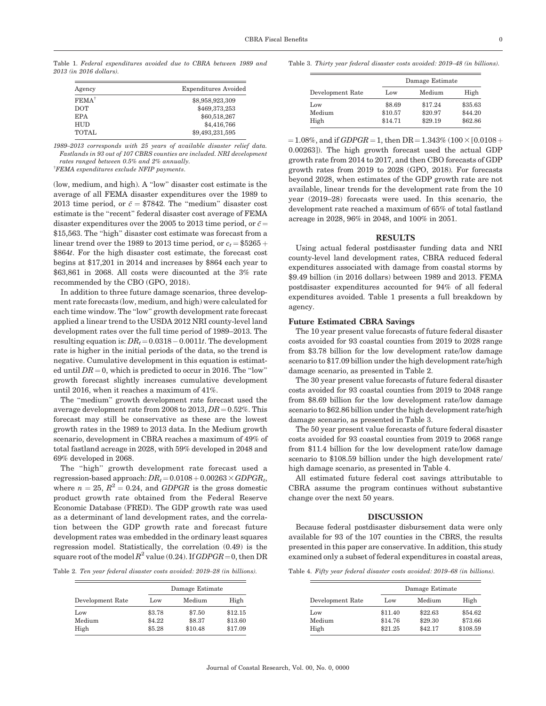Table 1. Federal expenditures avoided due to CBRA between 1989 and 2013 (in 2016 dollars).

| Agency            | Expenditures Avoided |
|-------------------|----------------------|
| FEMA <sup>†</sup> | \$8,958,923,309      |
| <b>DOT</b>        | \$469,373,253        |
| <b>EPA</b>        | \$60,518,267         |
| <b>HUD</b>        | \$4,416,766          |
| <b>TOTAL</b>      | \$9,493,231,595      |

1989–2013 corresponds with 25 years of available disaster relief data. Fastlands in 93 out of 107 CBRS counties are included. NRI development rates ranged between 0.5% and 2% annually.

† FEMA expenditures exclude NFIP payments.

(low, medium, and high). A ''low'' disaster cost estimate is the average of all FEMA disaster expenditures over the 1989 to 2013 time period, or  $\bar{c} = $7842$ . The "medium" disaster cost estimate is the ''recent'' federal disaster cost average of FEMA disaster expenditures over the 2005 to 2013 time period, or  $\bar{c}$  = \$15,563. The "high" disaster cost estimate was forecast from a linear trend over the 1989 to 2013 time period, or  $c_t = $5265 +$ \$864t. For the high disaster cost estimate, the forecast cost begins at \$17,201 in 2014 and increases by \$864 each year to \$63,861 in 2068. All costs were discounted at the 3% rate recommended by the CBO (GPO, 2018).

In addition to three future damage scenarios, three development rate forecasts (low, medium, and high) were calculated for each time window. The ''low'' growth development rate forecast applied a linear trend to the USDA 2012 NRI county-level land development rates over the full time period of 1989–2013. The resulting equation is:  $DR_t\!=\!0.0318-0.0011t.$  The development rate is higher in the initial periods of the data, so the trend is negative. Cumulative development in this equation is estimated until  $DR = 0$ , which is predicted to occur in 2016. The "low" growth forecast slightly increases cumulative development until 2016, when it reaches a maximum of 41%.

The ''medium'' growth development rate forecast used the average development rate from 2008 to 2013,  $DR = 0.52\%$ . This forecast may still be conservative as these are the lowest growth rates in the 1989 to 2013 data. In the Medium growth scenario, development in CBRA reaches a maximum of 49% of total fastland acreage in 2028, with 59% developed in 2048 and 69% developed in 2068.

The ''high'' growth development rate forecast used a regression-based approach:  $DR_t = 0.0108 + 0.00263 \times GDPGR_t$ , where  $n = 25$ ,  $R^2 = 0.24$ , and GDPGR is the gross domestic product growth rate obtained from the Federal Reserve Economic Database (FRED). The GDP growth rate was used as a determinant of land development rates, and the correlation between the GDP growth rate and forecast future development rates was embedded in the ordinary least squares regression model. Statistically, the correlation (0.49) is the square root of the model  $R^2$  value (0.24). If  $GDPGR = 0$ , then DR

Table 2. Ten year federal disaster costs avoided: 2019–28 (in billions).

Devel

Table 3. Thirty year federal disaster costs avoided: 2019–48 (in billions).

|                  | Damage Estimate |         |         |  |  |
|------------------|-----------------|---------|---------|--|--|
| Development Rate | Low             | Medium  | High    |  |  |
| Low              | \$8.69          | \$17.24 | \$35.63 |  |  |
| Medium           | \$10.57         | \$20.97 | \$44.20 |  |  |
| High             | \$14.71         | \$29.19 | \$62.86 |  |  |

 $=1.08\%$ , and if GDPGR = 1, then DR = 1.343% (100  $\times$  [0.0108 + 0.00263]). The high growth forecast used the actual GDP growth rate from 2014 to 2017, and then CBO forecasts of GDP growth rates from 2019 to 2028 (GPO, 2018). For forecasts beyond 2028, when estimates of the GDP growth rate are not available, linear trends for the development rate from the 10 year (2019–28) forecasts were used. In this scenario, the development rate reached a maximum of 65% of total fastland acreage in 2028, 96% in 2048, and 100% in 2051.

#### RESULTS

Using actual federal postdisaster funding data and NRI county-level land development rates, CBRA reduced federal expenditures associated with damage from coastal storms by \$9.49 billion (in 2016 dollars) between 1989 and 2013. FEMA postdisaster expenditures accounted for 94% of all federal expenditures avoided. Table 1 presents a full breakdown by agency.

#### Future Estimated CBRA Savings

The 10 year present value forecasts of future federal disaster costs avoided for 93 coastal counties from 2019 to 2028 range from \$3.78 billion for the low development rate/low damage scenario to \$17.09 billion under the high development rate/high damage scenario, as presented in Table 2.

The 30 year present value forecasts of future federal disaster costs avoided for 93 coastal counties from 2019 to 2048 range from \$8.69 billion for the low development rate/low damage scenario to \$62.86 billion under the high development rate/high damage scenario, as presented in Table 3.

The 50 year present value forecasts of future federal disaster costs avoided for 93 coastal counties from 2019 to 2068 range from \$11.4 billion for the low development rate/low damage scenario to \$108.59 billion under the high development rate/ high damage scenario, as presented in Table 4.

All estimated future federal cost savings attributable to CBRA assume the program continues without substantive change over the next 50 years.

#### DISCUSSION

Because federal postdisaster disbursement data were only available for 93 of the 107 counties in the CBRS, the results presented in this paper are conservative. In addition, this study examined only a subset of federal expenditures in coastal areas,

|  | Table 4. Fifty year federal disaster costs avoided: 2019–68 (in billions). |  |  |  |  |  |  |  |
|--|----------------------------------------------------------------------------|--|--|--|--|--|--|--|
|--|----------------------------------------------------------------------------|--|--|--|--|--|--|--|

| Development Rate |        | Damage Estimate |         |                  |         | Damage Estimate |          |  |
|------------------|--------|-----------------|---------|------------------|---------|-----------------|----------|--|
|                  | Low    | Medium          | High    | Development Rate | Low     | Medium          |          |  |
| $_{\rm Low}$     | \$3.78 | \$7.50          | \$12.15 | Low              | \$11.40 | \$22.63         | \$54.62  |  |
| Medium           | \$4.22 | \$8.37          | \$13.60 | Medium           | \$14.76 | \$29.30         | \$73.66  |  |
| High             | \$5.28 | \$10.48         | \$17.09 | High             | \$21.25 | \$42.17         | \$108.59 |  |